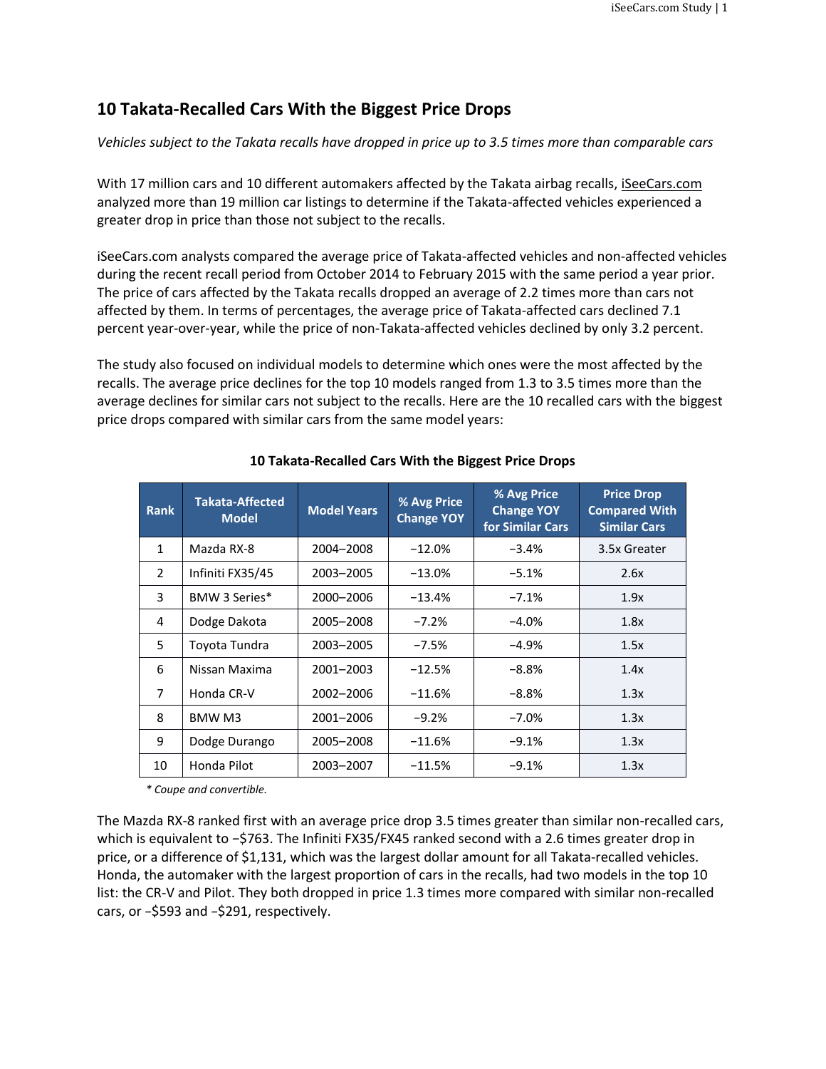# **10 Takata-Recalled Cars With the Biggest Price Drops**

*Vehicles subject to the Takata recalls have dropped in price up to 3.5 times more than comparable cars*

With 17 million cars and 10 different automakers affected by the Takata airbag recalls[, iSeeCars.com](http://www.iseecars.com/) analyzed more than 19 million car listings to determine if the Takata-affected vehicles experienced a greater drop in price than those not subject to the recalls.

iSeeCars.com analysts compared the average price of Takata-affected vehicles and non-affected vehicles during the recent recall period from October 2014 to February 2015 with the same period a year prior. The price of cars affected by the Takata recalls dropped an average of 2.2 times more than cars not affected by them. In terms of percentages, the average price of Takata-affected cars declined 7.1 percent year-over-year, while the price of non-Takata-affected vehicles declined by only 3.2 percent.

The study also focused on individual models to determine which ones were the most affected by the recalls. The average price declines for the top 10 models ranged from 1.3 to 3.5 times more than the average declines for similar cars not subject to the recalls. Here are the 10 recalled cars with the biggest price drops compared with similar cars from the same model years:

| <b>Rank</b>    | Takata-Affected<br><b>Model</b> | <b>Model Years</b> | % Avg Price<br><b>Change YOY</b> | % Avg Price<br><b>Change YOY</b><br>for Similar Cars | <b>Price Drop</b><br><b>Compared With</b><br><b>Similar Cars</b> |
|----------------|---------------------------------|--------------------|----------------------------------|------------------------------------------------------|------------------------------------------------------------------|
| $\mathbf{1}$   | Mazda RX-8                      | 2004-2008          | $-12.0%$                         | $-3.4%$                                              | 3.5x Greater                                                     |
| $\overline{2}$ | Infiniti FX35/45                | 2003-2005          | $-13.0%$                         | $-5.1%$                                              | 2.6x                                                             |
| 3              | BMW 3 Series*                   | 2000-2006          | $-13.4%$                         | $-7.1%$                                              | 1.9x                                                             |
| 4              | Dodge Dakota                    | 2005-2008          | $-7.2%$                          | $-4.0%$                                              | 1.8x                                                             |
| 5.             | Toyota Tundra                   | 2003-2005          | $-7.5%$                          | $-4.9\%$                                             | 1.5x                                                             |
| 6              | Nissan Maxima                   | 2001-2003          | $-12.5%$                         | $-8.8\%$                                             | 1.4x                                                             |
| $\overline{7}$ | Honda CR-V                      | 2002-2006          | $-11.6%$                         | $-8.8\%$                                             | 1.3x                                                             |
| 8              | BMW M3                          | 2001-2006          | $-9.2%$                          | $-7.0\%$                                             | 1.3x                                                             |
| 9              | Dodge Durango                   | 2005-2008          | $-11.6%$                         | $-9.1%$                                              | 1.3x                                                             |
| 10             | Honda Pilot                     | 2003-2007          | $-11.5%$                         | $-9.1%$                                              | 1.3x                                                             |

## **10 Takata-Recalled Cars With the Biggest Price Drops**

*\* Coupe and convertible.*

The Mazda RX-8 ranked first with an average price drop 3.5 times greater than similar non-recalled cars, which is equivalent to −\$763. The Infiniti FX35/FX45 ranked second with a 2.6 times greater drop in price, or a difference of \$1,131, which was the largest dollar amount for all Takata-recalled vehicles. Honda, the automaker with the largest proportion of cars in the recalls, had two models in the top 10 list: the CR-V and Pilot. They both dropped in price 1.3 times more compared with similar non-recalled cars, or −\$593 and −\$291, respectively.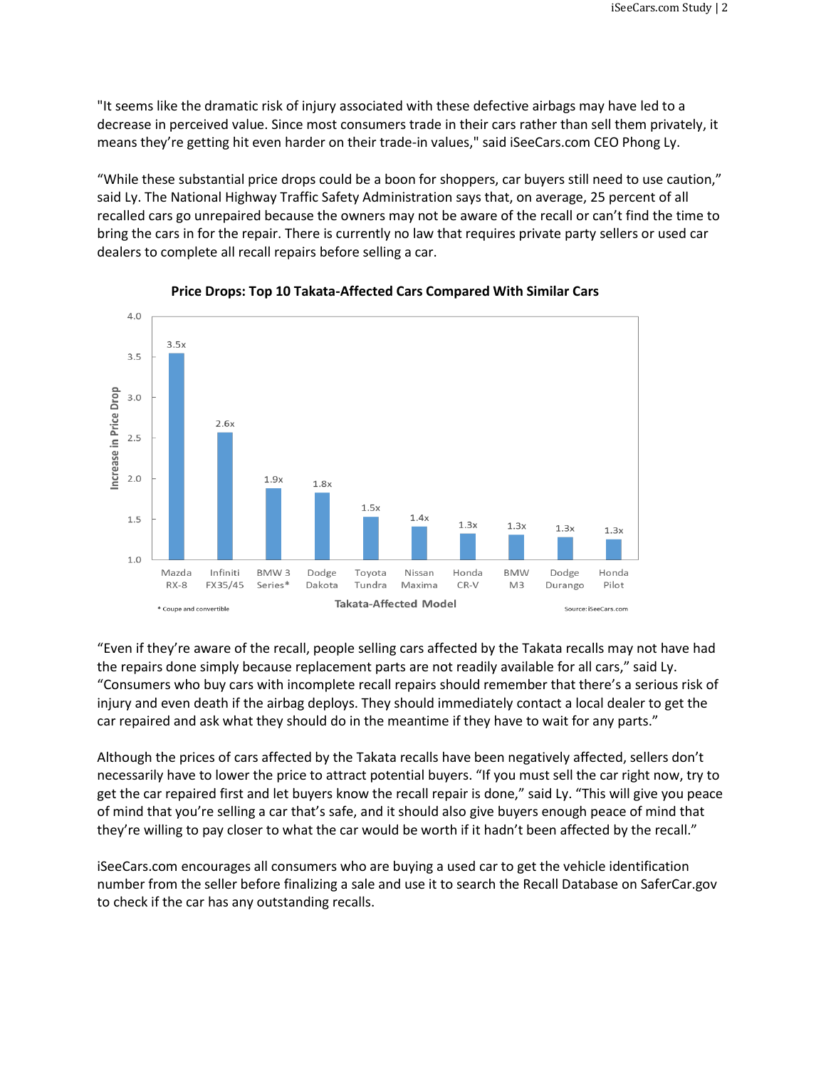"It seems like the dramatic risk of injury associated with these defective airbags may have led to a decrease in perceived value. Since most consumers trade in their cars rather than sell them privately, it means they're getting hit even harder on their trade-in values," said iSeeCars.com CEO Phong Ly.

"While these substantial price drops could be a boon for shoppers, car buyers still need to use caution," said Ly. The National Highway Traffic Safety Administration says that, on average, 25 percent of all recalled cars go unrepaired because the owners may not be aware of the recall or can't find the time to bring the cars in for the repair. There is currently no law that requires private party sellers or used car dealers to complete all recall repairs before selling a car.



### **Price Drops: Top 10 Takata-Affected Cars Compared With Similar Cars**

"Even if they're aware of the recall, people selling cars affected by the Takata recalls may not have had the repairs done simply because replacement parts are not readily available for all cars," said Ly. "Consumers who buy cars with incomplete recall repairs should remember that there's a serious risk of injury and even death if the airbag deploys. They should immediately contact a local dealer to get the car repaired and ask what they should do in the meantime if they have to wait for any parts."

Although the prices of cars affected by the Takata recalls have been negatively affected, sellers don't necessarily have to lower the price to attract potential buyers. "If you must sell the car right now, try to get the car repaired first and let buyers know the recall repair is done," said Ly. "This will give you peace of mind that you're selling a car that's safe, and it should also give buyers enough peace of mind that they're willing to pay closer to what the car would be worth if it hadn't been affected by the recall."

iSeeCars.com encourages all consumers who are buying a used car to get the vehicle identification number from the seller before finalizing a sale and use it to search the Recall Database on SaferCar.gov to check if the car has any outstanding recalls.